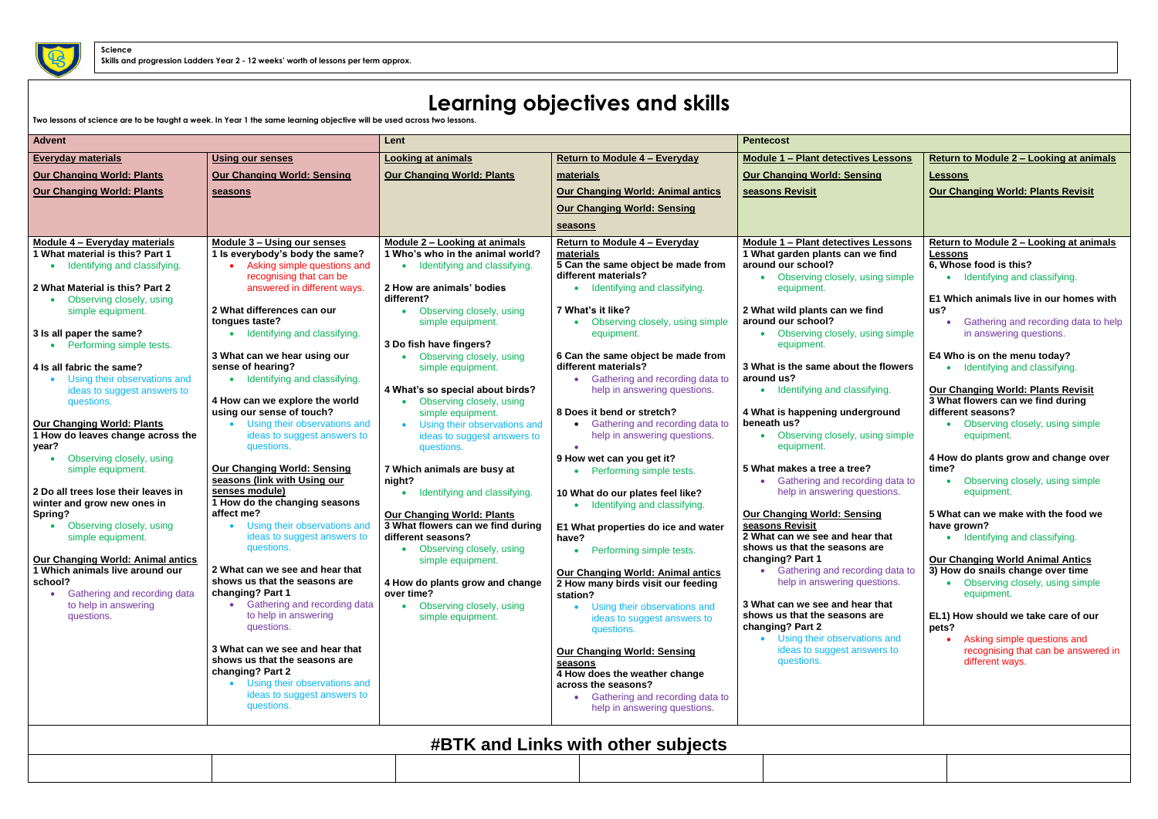## **Learning objectives and skills**

**Two lessons of science are to be taught a week. In Year 1 the same learning objective will be used across two lessons.**

| <b>Advent</b>                                                                          |                                                                                        | Lent                                                                                |                                                                                        | <b>Pentecost</b>                                                                     |
|----------------------------------------------------------------------------------------|----------------------------------------------------------------------------------------|-------------------------------------------------------------------------------------|----------------------------------------------------------------------------------------|--------------------------------------------------------------------------------------|
| <b>Everyday materials</b>                                                              | <b>Using our senses</b>                                                                | <b>Looking at animals</b>                                                           | <b>Return to Module 4 - Everyday</b>                                                   | <b>Module 1 - Plant detectives Lessons</b>                                           |
| <b>Our Changing World: Plants</b>                                                      | <b>Our Changing World: Sensing</b>                                                     | <b>Our Changing World: Plants</b>                                                   | materials                                                                              | <b>Our Changing World: Sensing</b>                                                   |
| <b>Our Changing World: Plants</b>                                                      | seasons                                                                                |                                                                                     | <b>Our Changing World: Animal antics</b>                                               | seasons Revisit                                                                      |
|                                                                                        |                                                                                        |                                                                                     | <b>Our Changing World: Sensing</b>                                                     |                                                                                      |
|                                                                                        |                                                                                        |                                                                                     | seasons                                                                                |                                                                                      |
| Module 4 - Everyday materials<br>1 What material is this? Part 1                       | Module 3 - Using our senses<br>1 Is everybody's body the same?                         | Module 2 - Looking at animals<br>1 Who's who in the animal world?                   | <b>Return to Module 4 - Everyday</b><br>materials                                      | Module 1 - Plant detectives Lessons<br>1 What garden plants can we find              |
| Identifying and classifying.<br>$\bullet$                                              | Asking simple questions and<br>recognising that can be                                 | Identifying and classifying.                                                        | 5 Can the same object be made from<br>different materials?                             | around our school?<br>Observing closely, using simple                                |
| 2 What Material is this? Part 2<br>Observing closely, using                            | answered in different ways.                                                            | 2 How are animals' bodies<br>different?                                             | Identifying and classifying.                                                           | equipment.                                                                           |
| simple equipment.                                                                      | 2 What differences can our<br>tongues taste?                                           | • Observing closely, using<br>simple equipment.                                     | 7 What's it like?<br>Observing closely, using simple                                   | 2 What wild plants can we find<br>around our school?                                 |
| 3 Is all paper the same?                                                               | Identifying and classifying.                                                           | 3 Do fish have fingers?                                                             | equipment.                                                                             | • Observing closely, using simple<br>equipment.                                      |
| Performing simple tests.<br>4 Is all fabric the same?                                  | 3 What can we hear using our<br>sense of hearing?                                      | Observing closely, using<br>simple equipment.                                       | 6 Can the same object be made from<br>different materials?                             | 3 What is the same about the flowers                                                 |
| Using their observations and<br>$\bullet$<br>ideas to suggest answers to<br>questions. | Identifying and classifying.<br>$\bullet$<br>4 How can we explore the world            | 4 What's so special about birds?<br>Observing closely, using                        | Gathering and recording data to<br>help in answering questions.                        | around us?<br>• Identifying and classifying.                                         |
| <b>Our Changing World: Plants</b>                                                      | using our sense of touch?<br>Using their observations and                              | simple equipment.<br>Using their observations and                                   | 8 Does it bend or stretch?<br>Gathering and recording data to                          | 4 What is happening underground<br>beneath us?                                       |
| 1 How do leaves change across the<br>year?                                             | ideas to suggest answers to<br>questions.                                              | ideas to suggest answers to<br>questions.                                           | help in answering questions.                                                           | Observing closely, using simple<br>equipment.                                        |
| Observing closely, using<br>$\bullet$<br>simple equipment.                             | <b>Our Changing World: Sensing</b><br>seasons (link with Using our                     | 7 Which animals are busy at<br>night?                                               | 9 How wet can you get it?<br>Performing simple tests.                                  | 5 What makes a tree a tree?<br>Gathering and recording data to                       |
| 2 Do all trees lose their leaves in<br>winter and grow new ones in<br>Spring?          | senses module)<br>1 How do the changing seasons<br>affect me?                          | Identifying and classifying.<br><b>Our Changing World: Plants</b>                   | 10 What do our plates feel like?<br>Identifying and classifying.                       | help in answering questions.<br>Our Changing World: Sensing                          |
| Observing closely, using<br>simple equipment.                                          | Using their observations and<br>$\bullet$<br>ideas to suggest answers to<br>questions. | 3 What flowers can we find during<br>different seasons?<br>Observing closely, using | E1 What properties do ice and water<br>have?<br>Performing simple tests.               | seasons Revisit<br>2 What can we see and hear that<br>shows us that the seasons are  |
| <b>Our Changing World: Animal antics</b><br>1 Which animals live around our            | 2 What can we see and hear that                                                        | simple equipment.                                                                   | <b>Our Changing World: Animal antics</b>                                               | changing? Part 1<br>Gathering and recording data to                                  |
| school?<br>Gathering and recording data<br>$\bullet$                                   | shows us that the seasons are<br>changing? Part 1                                      | 4 How do plants grow and change<br>over time?                                       | 2 How many birds visit our feeding<br>station?                                         | help in answering questions.                                                         |
| to help in answering<br>questions.                                                     | Gathering and recording data<br>$\bullet$<br>to help in answering<br>questions.        | Observing closely, using<br>simple equipment.                                       | Using their observations and<br>ideas to suggest answers to<br>questions.              | 3 What can we see and hear that<br>shows us that the seasons are<br>changing? Part 2 |
|                                                                                        | 3 What can we see and hear that<br>shows us that the seasons are<br>changing? Part 2   |                                                                                     | <b>Our Changing World: Sensing</b><br>seasons<br>4 How does the weather change         | • Using their observations and<br>ideas to suggest answers to<br>questions.          |
|                                                                                        | Using their observations and<br>$\bullet$<br>ideas to suggest answers to<br>questions. |                                                                                     | across the seasons?<br>Gathering and recording data to<br>help in answering questions. |                                                                                      |
|                                                                                        |                                                                                        |                                                                                     | <b>#BTK and Links with other subjects</b>                                              |                                                                                      |

| Lessons        | <b>Return to Module 2 - Looking at animals</b>                                 |  |  |
|----------------|--------------------------------------------------------------------------------|--|--|
| ıg             | <b>Lessons</b>                                                                 |  |  |
|                | <b>Our Changing World: Plants Revisit</b>                                      |  |  |
|                |                                                                                |  |  |
|                |                                                                                |  |  |
| Lessons        | Return to Module 2 - Looking at animals                                        |  |  |
| e find         | Lessons                                                                        |  |  |
|                | 6, Whose food is this?                                                         |  |  |
| ng simple      | Identifying and classifying.                                                   |  |  |
|                | E1 Which animals live in our homes with                                        |  |  |
| ١d             | us?<br>Gathering and recording data to help                                    |  |  |
| ng simple      | in answering questions.                                                        |  |  |
|                |                                                                                |  |  |
| <b>flowers</b> | E4 Who is on the menu today?<br>Identifying and classifying.                   |  |  |
|                |                                                                                |  |  |
| ing.           | <b>Our Changing World: Plants Revisit</b><br>3 What flowers can we find during |  |  |
| round          | different seasons?                                                             |  |  |
|                | Observing closely, using simple                                                |  |  |
| ng simple      | equipment.                                                                     |  |  |
|                | 4 How do plants grow and change over                                           |  |  |
| ng data to     | time?<br>Observing closely, using simple                                       |  |  |
| stions.        | equipment.                                                                     |  |  |
|                | 5 What can we make with the food we                                            |  |  |
| <u>g</u>       | have grown?                                                                    |  |  |
| that           | Identifying and classifying.                                                   |  |  |
| re             | <b>Our Changing World Animal Antics</b>                                        |  |  |
| าg data to     | 3) How do snails change over time                                              |  |  |
| stions.        | Observing closely, using simple<br>equipment.                                  |  |  |
| that           |                                                                                |  |  |
| re             | EL1) How should we take care of our                                            |  |  |
| າs and         | pets?<br>Asking simple questions and                                           |  |  |
| ers to         | recognising that can be answered in                                            |  |  |
|                | different ways.                                                                |  |  |
|                |                                                                                |  |  |
|                |                                                                                |  |  |
|                |                                                                                |  |  |
|                |                                                                                |  |  |

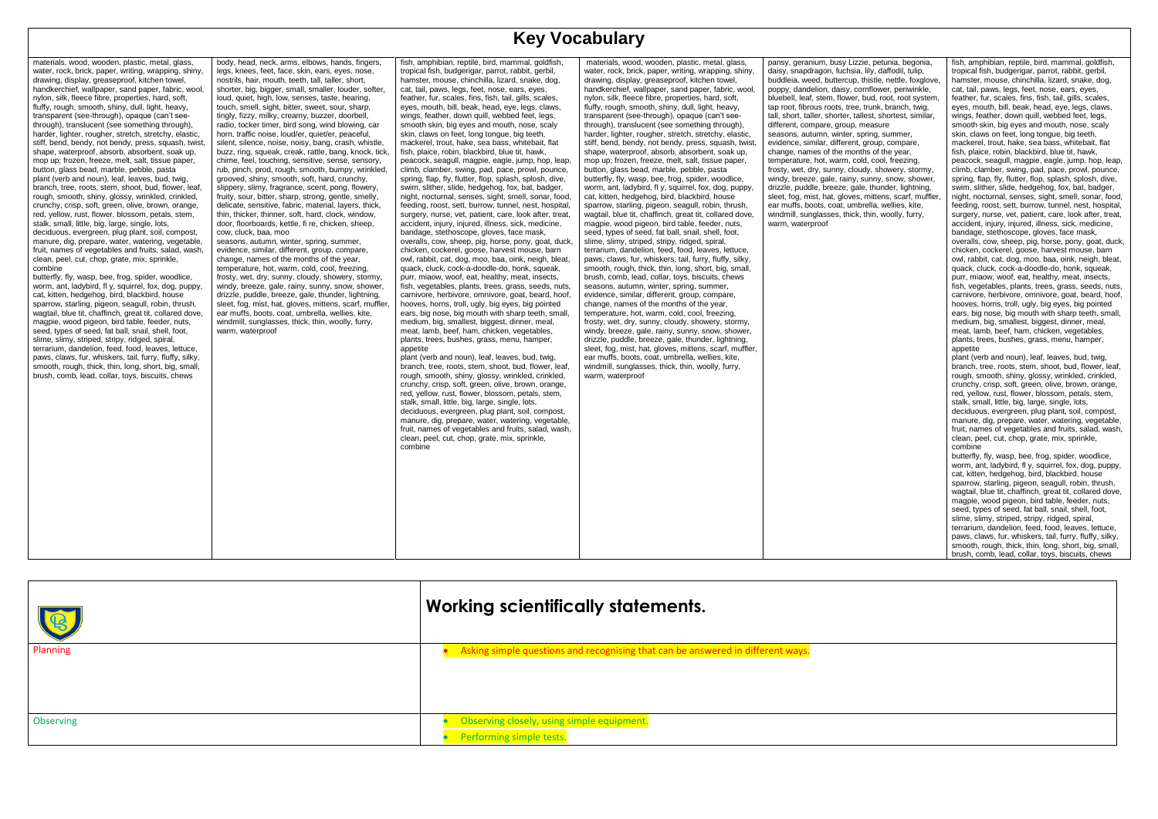## **Key Vocabulary**

eranium, busy Lizzie, petunia, begonia, apdragon, fuchsia, lily, daffodil, tulip, weed, buttercup, thistle, nettle, foxglove, andelion, daisy, cornflower, periwinkle, leaf, stem, flower, bud, root, root system, fibrous roots, tree, trunk, branch, twig, t. taller, shorter, tallest, shortest, similar, compare, group, measure autumn, winter, spring, summer, , similar, different, group, compare, names of the months of the year, ture, hot, warm, cold, cool, freezing, et, dry, sunny, cloudy, showery, stormy, reeze, gale, rainy, sunny, snow, shower, uddle, breeze, gale, thunder, lightning, ), mist, hat, gloves, mittens, scarf, muffler, s, boots, coat, umbrella, wellies, kite, sunglasses, thick, thin, woolly, furry,

| materials, wood, wooden, plastic, metal, glass,<br>water, rock, brick, paper, writing, wrapping, shiny,<br>drawing, display, greaseproof, kitchen towel,<br>handkerchief, wallpaper, sand paper, fabric, wool,<br>nylon, silk, fleece fibre, properties, hard, soft,<br>fluffy, rough, smooth, shiny, dull, light, heavy,<br>transparent (see-through), opaque (can't see-<br>through), translucent (see something through),<br>harder, lighter, rougher, stretch, stretchy, elastic,<br>stiff, bend, bendy, not bendy, press, squash, twist,<br>shape, waterproof, absorb, absorbent, soak up,<br>mop up; frozen, freeze, melt, salt, tissue paper,<br>button, glass bead, marble, pebble, pasta<br>plant (verb and noun), leaf, leaves, bud, twig,<br>branch, tree, roots, stem, shoot, bud, flower, leaf,<br>rough, smooth, shiny, glossy, wrinkled, crinkled,<br>crunchy, crisp, soft, green, olive, brown, orange,<br>red, yellow, rust, flower, blossom, petals, stem,<br>stalk, small, little, big, large, single, lots,<br>deciduous, evergreen, plug plant, soil, compost,<br>manure, dig, prepare, water, watering, vegetable,<br>fruit, names of vegetables and fruits, salad, wash,<br>clean, peel, cut, chop, grate, mix, sprinkle,<br>combine<br>butterfly, fly, wasp, bee, frog, spider, woodlice,<br>worm, ant, ladybird, fl y, squirrel, fox, dog, puppy,<br>cat, kitten, hedgehog, bird, blackbird, house<br>sparrow, starling, pigeon, seagull, robin, thrush,<br>wagtail, blue tit, chaffinch, great tit, collared dove,<br>magpie, wood pigeon, bird table, feeder, nuts,<br>seed, types of seed, fat ball, snail, shell, foot,<br>slime, slimy, striped, stripy, ridged, spiral,<br>terrarium, dandelion, feed, food, leaves, lettuce,<br>paws, claws, fur, whiskers, tail, furry, fluffy, silky,<br>smooth, rough, thick, thin, long, short, big, small,<br>brush, comb, lead, collar, toys, biscuits, chews | body, head, neck, arms, elbows, hands, fingers,<br>legs, knees, feet, face, skin, ears, eyes, nose,<br>nostrils, hair, mouth, teeth, tall, taller, short,<br>shorter, big, bigger, small, smaller, louder, softer,<br>loud, quiet, high, low, senses, taste, hearing,<br>touch, smell, sight, bitter, sweet, sour, sharp,<br>tingly, fizzy, milky, creamy, buzzer, doorbell,<br>radio, tocker timer, bird song, wind blowing, car<br>horn, traffic noise, loud/er, quiet/er, peaceful,<br>silent, silence, noise, noisy, bang, crash, whistle,<br>buzz, ring, squeak, creak, rattle, bang, knock, tick,<br>chime, feel, touching, sensitive, sense, sensory,<br>rub, pinch, prod, rough, smooth, bumpy, wrinkled,<br>grooved, shiny, smooth, soft, hard, crunchy,<br>slippery, slimy, fragrance, scent, pong, flowery,<br>fruity, sour, bitter, sharp, strong, gentle, smelly,<br>delicate, sensitive, fabric, material, layers, thick,<br>thin, thicker, thinner, soft, hard, clock, window,<br>door, floorboards, kettle, fi re, chicken, sheep,<br>cow, cluck, baa, moo<br>seasons, autumn, winter, spring, summer,<br>evidence, similar, different, group, compare,<br>change, names of the months of the year,<br>temperature, hot, warm, cold, cool, freezing,<br>frosty, wet, dry, sunny, cloudy, showery, stormy,<br>windy, breeze, gale, rainy, sunny, snow, shower,<br>drizzle, puddle, breeze, gale, thunder, lightning,<br>sleet, fog, mist, hat, gloves, mittens, scarf, muffler,<br>ear muffs, boots, coat, umbrella, wellies, kite,<br>windmill, sunglasses, thick, thin, woolly, furry,<br>warm, waterproof | fish, amphibian, reptile, bird, mammal, goldfish,<br>tropical fish, budgerigar, parrot, rabbit, gerbil,<br>hamster, mouse, chinchilla, lizard, snake, dog,<br>cat, tail, paws, legs, feet, nose, ears, eyes,<br>feather, fur, scales, fins, fish, tail, gills, scales,<br>eyes, mouth, bill, beak, head, eye, legs, claws,<br>wings, feather, down quill, webbed feet, legs,<br>smooth skin, big eyes and mouth, nose, scaly<br>skin, claws on feet, long tongue, big teeth,<br>mackerel, trout, hake, sea bass, whitebait, flat<br>fish, plaice, robin, blackbird, blue tit, hawk,<br>peacock, seagull, magpie, eagle, jump, hop, leap,<br>climb, clamber, swing, pad, pace, prowl, pounce,<br>spring, flap, fly, flutter, flop, splash, splosh, dive,<br>swim, slither, slide, hedgehog, fox, bat, badger,<br>night, nocturnal, senses, sight, smell, sonar, food,<br>feeding, roost, sett, burrow, tunnel, nest, hospital,<br>surgery, nurse, vet, patient, care, look after, treat,<br>accident, injury, injured, illness, sick, medicine,<br>bandage, stethoscope, gloves, face mask,<br>overalls, cow, sheep, pig, horse, pony, goat, duck,<br>chicken, cockerel, goose, harvest mouse, barn<br>owl, rabbit, cat, dog, moo, baa, oink, neigh, bleat,<br>quack, cluck, cock-a-doodle-do, honk, squeak,<br>purr, miaow, woof, eat, healthy, meat, insects,<br>fish, vegetables, plants, trees, grass, seeds, nuts,<br>carnivore, herbivore, omnivore, goat, beard, hoof,<br>hooves, horns, troll, ugly, big eyes, big pointed<br>ears, big nose, big mouth with sharp teeth, small,<br>medium, big, smallest, biggest, dinner, meal,<br>meat, lamb, beef, ham, chicken, vegetables,<br>plants, trees, bushes, grass, menu, hamper,<br>appetite<br>plant (verb and noun), leaf, leaves, bud, twig,<br>branch, tree, roots, stem, shoot, bud, flower, leaf,<br>rough, smooth, shiny, glossy, wrinkled, crinkled,<br>crunchy, crisp, soft, green, olive, brown, orange,<br>red, yellow, rust, flower, blossom, petals, stem,<br>stalk, small, little, big, large, single, lots,<br>deciduous, evergreen, plug plant, soil, compost,<br>manure, dig, prepare, water, watering, vegetable,<br>fruit, names of vegetables and fruits, salad, wash,<br>clean, peel, cut, chop, grate, mix, sprinkle,<br>combine | materials, wood, wooden, plastic, metal, glass,<br>water, rock, brick, paper, writing, wrapping, shiny,<br>drawing, display, greaseproof, kitchen towel,<br>handkerchief, wallpaper, sand paper, fabric, wool,<br>nylon, silk, fleece fibre, properties, hard, soft,<br>fluffy, rough, smooth, shiny, dull, light, heavy,<br>transparent (see-through), opaque (can't see-<br>through), translucent (see something through),<br>harder, lighter, rougher, stretch, stretchy, elastic,<br>stiff, bend, bendy, not bendy, press, squash, twist,<br>shape, waterproof, absorb, absorbent, soak up,<br>mop up; frozen, freeze, melt, salt, tissue paper,<br>button, glass bead, marble, pebble, pasta<br>butterfly, fly, wasp, bee, frog, spider, woodlice,<br>worm, ant, ladybird, fl y, squirrel, fox, dog, puppy,<br>cat, kitten, hedgehog, bird, blackbird, house<br>sparrow, starling, pigeon, seagull, robin, thrush,<br>wagtail, blue tit, chaffinch, great tit, collared dove,<br>magpie, wood pigeon, bird table, feeder, nuts,<br>seed, types of seed, fat ball, snail, shell, foot,<br>slime, slimy, striped, stripy, ridged, spiral,<br>terrarium, dandelion, feed, food, leaves, lettuce,<br>paws, claws, fur, whiskers, tail, furry, fluffy, silky,<br>smooth, rough, thick, thin, long, short, big, small,<br>brush, comb, lead, collar, toys, biscuits, chews<br>seasons, autumn, winter, spring, summer,<br>evidence, similar, different, group, compare,<br>change, names of the months of the year,<br>temperature, hot, warm, cold, cool, freezing,<br>frosty, wet, dry, sunny, cloudy, showery, stormy,<br>windy, breeze, gale, rainy, sunny, snow, shower,<br>drizzle, puddle, breeze, gale, thunder, lightning,<br>sleet, fog, mist, hat, gloves, mittens, scarf, muffler,<br>ear muffs, boots, coat, umbrella, wellies, kite,<br>windmill, sunglasses, thick, thin, woolly, furry,<br>warm, waterproof | pansy, geranium, I<br>daisy, snapdragon<br>buddleia, weed, bu<br>poppy, dandelion,<br>bluebell, leaf, stem<br>tap root, fibrous ro<br>tall, short, taller, sh<br>different, compare<br>seasons, autumn,<br>evidence, similar,<br>change, names of<br>temperature, hot,<br>frosty, wet, dry, su<br>windy, breeze, gal<br>drizzle, puddle, br<br>sleet, fog, mist, ha<br>ear muffs, boots, o<br>windmill, sunglass<br>warm, waterproof |
|-------------------------------------------------------------------------------------------------------------------------------------------------------------------------------------------------------------------------------------------------------------------------------------------------------------------------------------------------------------------------------------------------------------------------------------------------------------------------------------------------------------------------------------------------------------------------------------------------------------------------------------------------------------------------------------------------------------------------------------------------------------------------------------------------------------------------------------------------------------------------------------------------------------------------------------------------------------------------------------------------------------------------------------------------------------------------------------------------------------------------------------------------------------------------------------------------------------------------------------------------------------------------------------------------------------------------------------------------------------------------------------------------------------------------------------------------------------------------------------------------------------------------------------------------------------------------------------------------------------------------------------------------------------------------------------------------------------------------------------------------------------------------------------------------------------------------------------------------------------------------------------------------------------------------------------|-----------------------------------------------------------------------------------------------------------------------------------------------------------------------------------------------------------------------------------------------------------------------------------------------------------------------------------------------------------------------------------------------------------------------------------------------------------------------------------------------------------------------------------------------------------------------------------------------------------------------------------------------------------------------------------------------------------------------------------------------------------------------------------------------------------------------------------------------------------------------------------------------------------------------------------------------------------------------------------------------------------------------------------------------------------------------------------------------------------------------------------------------------------------------------------------------------------------------------------------------------------------------------------------------------------------------------------------------------------------------------------------------------------------------------------------------------------------------------------------------------------------------------------------------------------------------------------------------------------------------------|--------------------------------------------------------------------------------------------------------------------------------------------------------------------------------------------------------------------------------------------------------------------------------------------------------------------------------------------------------------------------------------------------------------------------------------------------------------------------------------------------------------------------------------------------------------------------------------------------------------------------------------------------------------------------------------------------------------------------------------------------------------------------------------------------------------------------------------------------------------------------------------------------------------------------------------------------------------------------------------------------------------------------------------------------------------------------------------------------------------------------------------------------------------------------------------------------------------------------------------------------------------------------------------------------------------------------------------------------------------------------------------------------------------------------------------------------------------------------------------------------------------------------------------------------------------------------------------------------------------------------------------------------------------------------------------------------------------------------------------------------------------------------------------------------------------------------------------------------------------------------------------------------------------------------------------------------------------------------------------------------------------------------------------------------------------------------------------------------------------------------------------------------------------------------------------------------------------------------------------------------------------------------------------------------------------|----------------------------------------------------------------------------------------------------------------------------------------------------------------------------------------------------------------------------------------------------------------------------------------------------------------------------------------------------------------------------------------------------------------------------------------------------------------------------------------------------------------------------------------------------------------------------------------------------------------------------------------------------------------------------------------------------------------------------------------------------------------------------------------------------------------------------------------------------------------------------------------------------------------------------------------------------------------------------------------------------------------------------------------------------------------------------------------------------------------------------------------------------------------------------------------------------------------------------------------------------------------------------------------------------------------------------------------------------------------------------------------------------------------------------------------------------------------------------------------------------------------------------------------------------------------------------------------------------------------------------------------------------------------------------------------------------------------------------------------------------------------------------------------------------------------------------------------------------------------------------------------------------------------------------|--------------------------------------------------------------------------------------------------------------------------------------------------------------------------------------------------------------------------------------------------------------------------------------------------------------------------------------------------------------------------------------------------------------------------------------|

fish, amphibian, reptile, bird, mammal, goldfish, tropical fish, budgerigar, parrot, rabbit, gerbil, hamster, mouse, chinchilla, lizard, snake, dog, cat, tail, paws, legs, feet, nose, ears, eyes, feather, fur, scales, fins, fish, tail, gills, scales, eyes, mouth, bill, beak, head, eye, legs, claws, wings, feather, down quill, webbed feet, legs, smooth skin, big eyes and mouth, nose, scaly skin, claws on feet, long tongue, big teeth, mackerel, trout, hake, sea bass, whitebait, flat fish, plaice, robin, blackbird, blue tit, hawk, peacock, seagull, magpie, eagle, jump, hop, leap, climb, clamber, swing, pad, pace, prowl, pounce, spring, flap, fly, flutter, flop, splash, splosh, dive, swim, slither, slide, hedgehog, fox, bat, badger, night, nocturnal, senses, sight, smell, sonar, food, feeding, roost, sett, burrow, tunnel, nest, hospital, surgery, nurse, vet, patient, care, look after, treat, accident, injury, injured, illness, sick, medicine, bandage, stethoscope, gloves, face mask, overalls, cow, sheep, pig, horse, pony, goat, duck, chicken, cockerel, goose, harvest mouse, barn owl, rabbit, cat, dog, moo, baa, oink, neigh, bleat, quack, cluck, cock-a-doodle-do, honk, squeak, purr, miaow, woof, eat, healthy, meat, insects, fish, vegetables, plants, trees, grass, seeds, nuts, carnivore, herbivore, omnivore, goat, beard, hoof, hooves, horns, troll, ugly, big eyes, big pointed ears, big nose, big mouth with sharp teeth, small, medium, big, smallest, biggest, dinner, meal, meat, lamb, beef, ham, chicken, vegetables, plants, trees, bushes, grass, menu, hamper, appetite plant (verb and noun), leaf, leaves, bud, twig, branch, tree, roots, stem, shoot, bud, flower, leaf, rough, smooth, shiny, glossy, wrinkled, crinkled, crunchy, crisp, soft, green, olive, brown, orange, red, yellow, rust, flower, blossom, petals, stem, stalk, small, little, big, large, single, lots, deciduous, evergreen, plug plant, soil, compost, manure, dig, prepare, water, watering, vegetable, fruit, names of vegetables and fruits, salad, wash, clean, peel, cut, chop, grate, mix, sprinkle, combine butterfly, fly, wasp, bee, frog, spider, woodlice, worm, ant, ladybird, fl y, squirrel, fox, dog, puppy, cat, kitten, hedgehog, bird, blackbird, house sparrow, starling, pigeon, seagull, robin, thrush, wagtail, blue tit, chaffinch, great tit, collared dove,

magpie, wood pigeon, bird table, feeder, nuts, seed, types of seed, fat ball, snail, shell, foot, slime, slimy, striped, stripy, ridged, spiral, terrarium, dandelion, feed, food, leaves, lettuce, paws, claws, fur, whiskers, tail, furry, fluffy, silky, smooth, rough, thick, thin, long, short, big, small, brush, comb, lead, collar, toys, biscuits, chews

|           | <b>Working scientifically statements.</b>                                       |
|-----------|---------------------------------------------------------------------------------|
| Planning  | Asking simple questions and recognising that can be answered in different ways. |
| Observing | Observing closely, using simple equipment.<br>Performing simple tests.          |